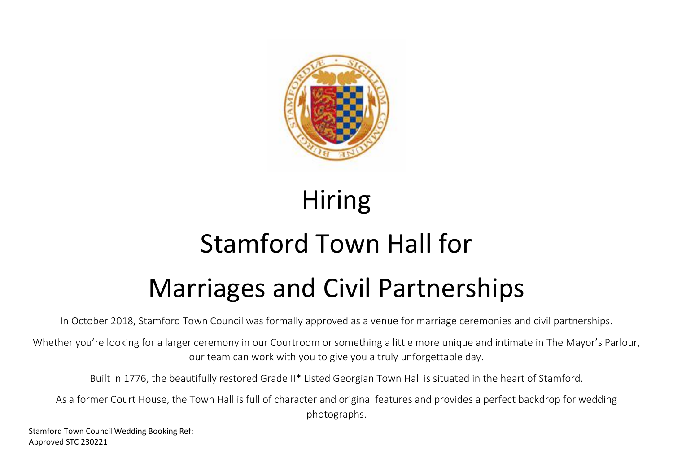

# Hiring

# Stamford Town Hall for Marriages and Civil Partnerships

In October 2018, Stamford Town Council was formally approved as a venue for marriage ceremonies and civil partnerships.

Whether you're looking for a larger ceremony in our Courtroom or something a little more unique and intimate in The Mayor's Parlour, our team can work with you to give you a truly unforgettable day.

Built in 1776, the beautifully restored Grade II\* Listed Georgian Town Hall is situated in the heart of Stamford.

As a former Court House, the Town Hall is full of character and original features and provides a perfect backdrop for wedding photographs.

Stamford Town Council Wedding Booking Ref: Approved STC 230221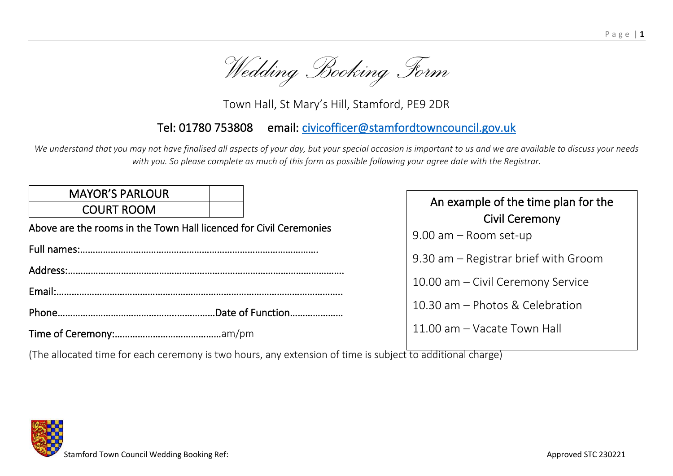

Town Hall, St Mary's Hill, Stamford, PE9 2DR

# Tel: 01780 753808 email: [civicofficer@stamfordtowncouncil.gov.uk](mailto:civicofficer@stamfordtowncouncil.gov.uk)

*We understand that you may not have finalised all aspects of your day, but your special occasion is important to us and we are available to discuss your needs with you. So please complete as much of this form as possible following your agree date with the Registrar.*

| <b>MAYOR'S PARLOUR</b><br><b>COURT ROOM</b>                        | An example of the time plan for the<br><b>Civil Ceremony</b> |
|--------------------------------------------------------------------|--------------------------------------------------------------|
| Above are the rooms in the Town Hall licenced for Civil Ceremonies | 9.00 am - Room set-up                                        |
| Address:                                                           | 9.30 am – Registrar brief with Groom                         |
|                                                                    | 10.00 am - Civil Ceremony Service                            |
|                                                                    | 10.30 am - Photos & Celebration                              |
|                                                                    | 11.00 am - Vacate Town Hall                                  |

(The allocated time for each ceremony is two hours, any extension of time is subject to additional charge)

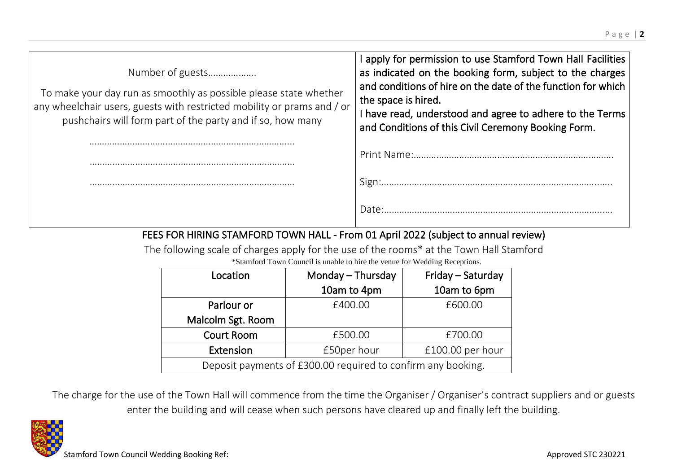| Number of guests<br>To make your day run as smoothly as possible please state whether<br>any wheelchair users, guests with restricted mobility or prams and / or<br>pushchairs will form part of the party and if so, how many | I apply for permission to use Stamford Town Hall Facilities  <br>as indicated on the booking form, subject to the charges<br>and conditions of hire on the date of the function for which<br>the space is hired.<br>I have read, understood and agree to adhere to the Terms<br>and Conditions of this Civil Ceremony Booking Form. |  |
|--------------------------------------------------------------------------------------------------------------------------------------------------------------------------------------------------------------------------------|-------------------------------------------------------------------------------------------------------------------------------------------------------------------------------------------------------------------------------------------------------------------------------------------------------------------------------------|--|
|                                                                                                                                                                                                                                | Print Name:                                                                                                                                                                                                                                                                                                                         |  |
|                                                                                                                                                                                                                                |                                                                                                                                                                                                                                                                                                                                     |  |
|                                                                                                                                                                                                                                | Date:                                                                                                                                                                                                                                                                                                                               |  |
| FEES FOR HIRING STAMFORD TOWN HALL - From 01 April 2022 (subject to annual review)                                                                                                                                             |                                                                                                                                                                                                                                                                                                                                     |  |

The following scale of charges apply for the use of the rooms\* at the Town Hall Stamford \*Stamford Town Council is unable to hire the venue for Wedding Receptions.

| Location                                                     | Monday - Thursday | Friday - Saturday |
|--------------------------------------------------------------|-------------------|-------------------|
|                                                              | 10am to 4pm       | 10am to 6pm       |
| Parlour or                                                   | £400.00           | £600.00           |
| Malcolm Sgt. Room                                            |                   |                   |
| <b>Court Room</b>                                            | £500.00           | £700.00           |
| Extension                                                    | £50per hour       | £100.00 per hour  |
| Deposit payments of £300.00 required to confirm any booking. |                   |                   |

The charge for the use of the Town Hall will commence from the time the Organiser / Organiser's contract suppliers and or guests enter the building and will cease when such persons have cleared up and finally left the building.

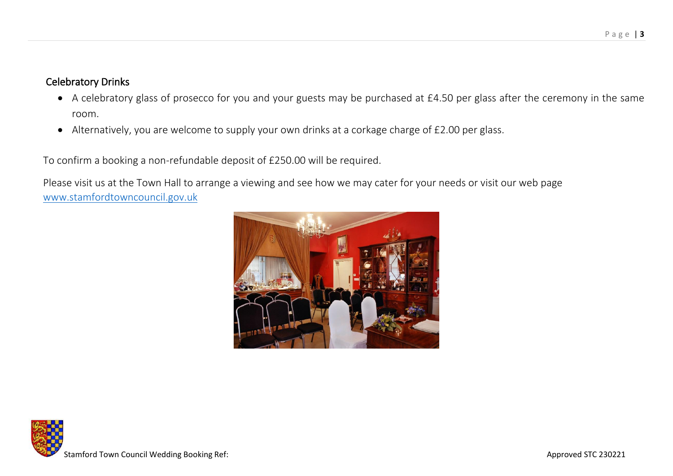# Celebratory Drinks

- A celebratory glass of prosecco for you and your guests may be purchased at £4.50 per glass after the ceremony in the same room.
- Alternatively, you are welcome to supply your own drinks at a corkage charge of £2.00 per glass.

To confirm a booking a non-refundable deposit of £250.00 will be required.

Please visit us at the Town Hall to arrange a viewing and see how we may cater for your needs or visit our web page [www.stamfordtowncouncil.gov.uk](http://www.stamfordtowncouncil.gov.uk/)



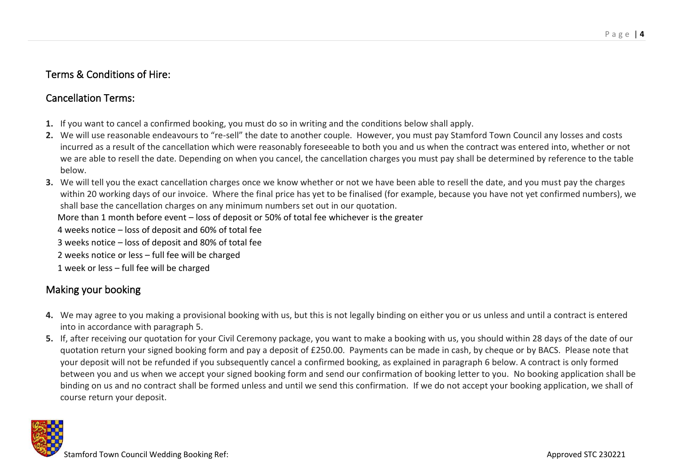## Terms & Conditions of Hire:

# Cancellation Terms:

- **1.** If you want to cancel a confirmed booking, you must do so in writing and the conditions below shall apply.
- **2.** We will use reasonable endeavours to "re-sell" the date to another couple. However, you must pay Stamford Town Council any losses and costs incurred as a result of the cancellation which were reasonably foreseeable to both you and us when the contract was entered into, whether or not we are able to resell the date. Depending on when you cancel, the cancellation charges you must pay shall be determined by reference to the table below.
- **3.** We will tell you the exact cancellation charges once we know whether or not we have been able to resell the date, and you must pay the charges within 20 working days of our invoice. Where the final price has yet to be finalised (for example, because you have not yet confirmed numbers), we shall base the cancellation charges on any minimum numbers set out in our quotation.
	- More than 1 month before event loss of deposit or 50% of total fee whichever is the greater
	- 4 weeks notice loss of deposit and 60% of total fee
	- 3 weeks notice loss of deposit and 80% of total fee
	- 2 weeks notice or less full fee will be charged
	- 1 week or less full fee will be charged

# Making your booking

- **4.** We may agree to you making a provisional booking with us, but this is not legally binding on either you or us unless and until a contract is entered into in accordance with paragraph 5.
- **5.** If, after receiving our quotation for your Civil Ceremony package, you want to make a booking with us, you should within 28 days of the date of our quotation return your signed booking form and pay a deposit of £250.00. Payments can be made in cash, by cheque or by BACS. Please note that your deposit will not be refunded if you subsequently cancel a confirmed booking, as explained in paragraph 6 below. A contract is only formed between you and us when we accept your signed booking form and send our confirmation of booking letter to you. No booking application shall be binding on us and no contract shall be formed unless and until we send this confirmation. If we do not accept your booking application, we shall of course return your deposit.

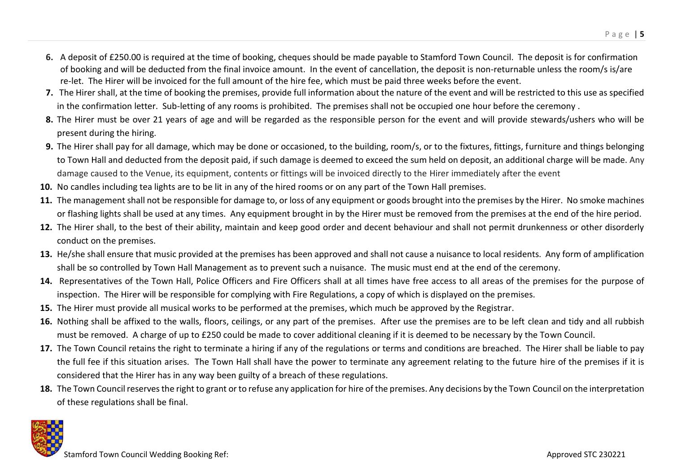- **6.** A deposit of £250.00 is required at the time of booking, cheques should be made payable to Stamford Town Council. The deposit is for confirmation of booking and will be deducted from the final invoice amount. In the event of cancellation, the deposit is non-returnable unless the room/s is/are re-let. The Hirer will be invoiced for the full amount of the hire fee, which must be paid three weeks before the event.
- **7.** The Hirer shall, at the time of booking the premises, provide full information about the nature of the event and will be restricted to this use as specified in the confirmation letter. Sub-letting of any rooms is prohibited. The premises shall not be occupied one hour before the ceremony .
- **8.** The Hirer must be over 21 years of age and will be regarded as the responsible person for the event and will provide stewards/ushers who will be present during the hiring.
- **9.** The Hirer shall pay for all damage, which may be done or occasioned, to the building, room/s, or to the fixtures, fittings, furniture and things belonging to Town Hall and deducted from the deposit paid, if such damage is deemed to exceed the sum held on deposit, an additional charge will be made. Any damage caused to the Venue, its equipment, contents or fittings will be invoiced directly to the Hirer immediately after the event
- **10.** No candles including tea lights are to be lit in any of the hired rooms or on any part of the Town Hall premises.
- **11.** The management shall not be responsible for damage to, or loss of any equipment or goods brought into the premises by the Hirer. No smoke machines or flashing lights shall be used at any times. Any equipment brought in by the Hirer must be removed from the premises at the end of the hire period.
- **12.** The Hirer shall, to the best of their ability, maintain and keep good order and decent behaviour and shall not permit drunkenness or other disorderly conduct on the premises.
- **13.** He/she shall ensure that music provided at the premises has been approved and shall not cause a nuisance to local residents. Any form of amplification shall be so controlled by Town Hall Management as to prevent such a nuisance. The music must end at the end of the ceremony.
- **14.** Representatives of the Town Hall, Police Officers and Fire Officers shall at all times have free access to all areas of the premises for the purpose of inspection. The Hirer will be responsible for complying with Fire Regulations, a copy of which is displayed on the premises.
- **15.** The Hirer must provide all musical works to be performed at the premises, which much be approved by the Registrar.
- 16. Nothing shall be affixed to the walls, floors, ceilings, or any part of the premises. After use the premises are to be left clean and tidy and all rubbish must be removed. A charge of up to £250 could be made to cover additional cleaning if it is deemed to be necessary by the Town Council.
- **17.** The Town Council retains the right to terminate a hiring if any of the regulations or terms and conditions are breached. The Hirer shall be liable to pay the full fee if this situation arises. The Town Hall shall have the power to terminate any agreement relating to the future hire of the premises if it is considered that the Hirer has in any way been guilty of a breach of these regulations.
- **18.** The Town Council reserves the right to grant or to refuse any application for hire of the premises. Any decisions by the Town Council on the interpretation of these regulations shall be final.

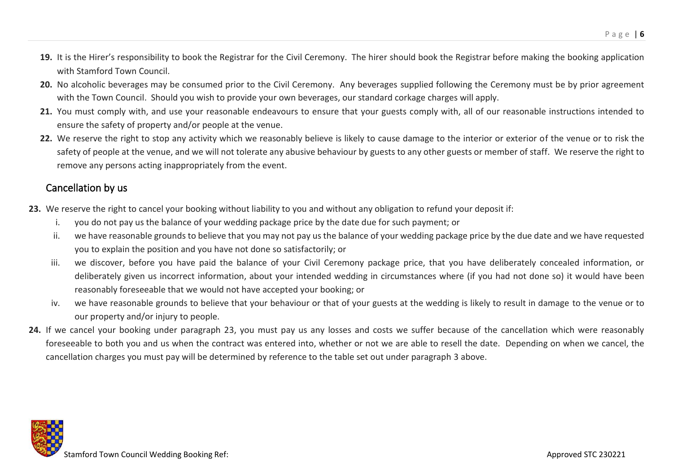- **19.** It is the Hirer's responsibility to book the Registrar for the Civil Ceremony. The hirer should book the Registrar before making the booking application with Stamford Town Council.
- **20.** No alcoholic beverages may be consumed prior to the Civil Ceremony. Any beverages supplied following the Ceremony must be by prior agreement with the Town Council. Should you wish to provide your own beverages, our standard corkage charges will apply.
- **21.** You must comply with, and use your reasonable endeavours to ensure that your guests comply with, all of our reasonable instructions intended to ensure the safety of property and/or people at the venue.
- **22.** We reserve the right to stop any activity which we reasonably believe is likely to cause damage to the interior or exterior of the venue or to risk the safety of people at the venue, and we will not tolerate any abusive behaviour by guests to any other guests or member of staff. We reserve the right to remove any persons acting inappropriately from the event.

#### Cancellation by us

- **23.** We reserve the right to cancel your booking without liability to you and without any obligation to refund your deposit if:
	- i. you do not pay us the balance of your wedding package price by the date due for such payment; or
	- ii. we have reasonable grounds to believe that you may not pay us the balance of your wedding package price by the due date and we have requested you to explain the position and you have not done so satisfactorily; or
	- iii. we discover, before you have paid the balance of your Civil Ceremony package price, that you have deliberately concealed information, or deliberately given us incorrect information, about your intended wedding in circumstances where (if you had not done so) it would have been reasonably foreseeable that we would not have accepted your booking; or
	- iv. we have reasonable grounds to believe that your behaviour or that of your guests at the wedding is likely to result in damage to the venue or to our property and/or injury to people.
- **24.** If we cancel your booking under paragraph 23, you must pay us any losses and costs we suffer because of the cancellation which were reasonably foreseeable to both you and us when the contract was entered into, whether or not we are able to resell the date. Depending on when we cancel, the cancellation charges you must pay will be determined by reference to the table set out under paragraph 3 above.

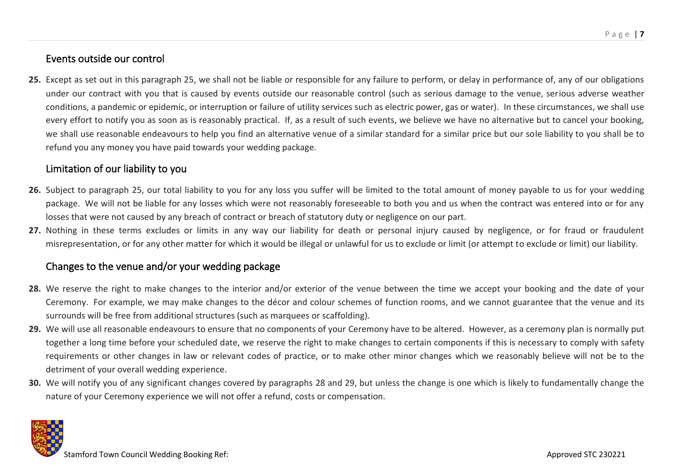# Events outside our control

25. Except as set out in this paragraph 25, we shall not be liable or responsible for any failure to perform, or delay in performance of, any of our obligations under our contract with you that is caused by events outside our reasonable control (such as serious damage to the venue, serious adverse weather conditions, a pandemic or epidemic, or interruption or failure of utility services such as electric power, gas or water). In these circumstances, we shall use every effort to notify you as soon as is reasonably practical. If, as a result of such events, we believe we have no alternative but to cancel your booking, we shall use reasonable endeavours to help you find an alternative venue of a similar standard for a similar price but our sole liability to you shall be to refund you any money you have paid towards your wedding package.

#### Limitation of our liability to you

- **26.** Subject to paragraph 25, our total liability to you for any loss you suffer will be limited to the total amount of money payable to us for your wedding package. We will not be liable for any losses which were not reasonably foreseeable to both you and us when the contract was entered into or for any losses that were not caused by any breach of contract or breach of statutory duty or negligence on our part.
- 27. Nothing in these terms excludes or limits in any way our liability for death or personal injury caused by negligence, or for fraud or fraudulent misrepresentation, or for any other matter for which it would be illegal or unlawful for us to exclude or limit (or attempt to exclude or limit) our liability.

#### Changes to the venue and/or your wedding package

- **28.** We reserve the right to make changes to the interior and/or exterior of the venue between the time we accept your booking and the date of your Ceremony. For example, we may make changes to the décor and colour schemes of function rooms, and we cannot guarantee that the venue and its surrounds will be free from additional structures (such as marquees or scaffolding).
- **29.** We will use all reasonable endeavours to ensure that no components of your Ceremony have to be altered. However, as a ceremony plan is normally put together a long time before your scheduled date, we reserve the right to make changes to certain components if this is necessary to comply with safety requirements or other changes in law or relevant codes of practice, or to make other minor changes which we reasonably believe will not be to the detriment of your overall wedding experience.
- **30.** We will notify you of any significant changes covered by paragraphs 28 and 29, but unless the change is one which is likely to fundamentally change the nature of your Ceremony experience we will not offer a refund, costs or compensation.